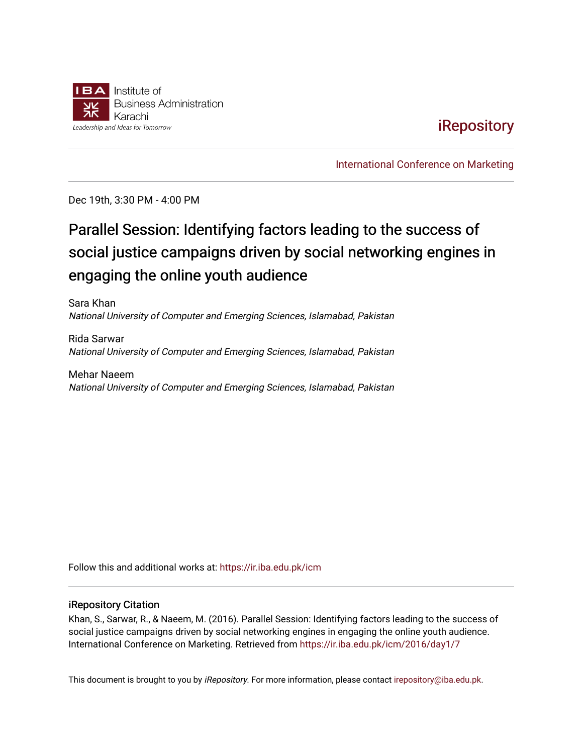

## [iRepository](https://ir.iba.edu.pk/)

[International Conference on Marketing](https://ir.iba.edu.pk/icm) 

Dec 19th, 3:30 PM - 4:00 PM

# Parallel Session: Identifying factors leading to the success of social justice campaigns driven by social networking engines in engaging the online youth audience

Sara Khan National University of Computer and Emerging Sciences, Islamabad, Pakistan

Rida Sarwar National University of Computer and Emerging Sciences, Islamabad, Pakistan

Mehar Naeem National University of Computer and Emerging Sciences, Islamabad, Pakistan

Follow this and additional works at: [https://ir.iba.edu.pk/icm](https://ir.iba.edu.pk/icm?utm_source=ir.iba.edu.pk%2Ficm%2F2016%2Fday1%2F7&utm_medium=PDF&utm_campaign=PDFCoverPages) 

#### iRepository Citation

Khan, S., Sarwar, R., & Naeem, M. (2016). Parallel Session: Identifying factors leading to the success of social justice campaigns driven by social networking engines in engaging the online youth audience. International Conference on Marketing. Retrieved from [https://ir.iba.edu.pk/icm/2016/day1/7](https://ir.iba.edu.pk/icm/2016/day1/7?utm_source=ir.iba.edu.pk%2Ficm%2F2016%2Fday1%2F7&utm_medium=PDF&utm_campaign=PDFCoverPages)

This document is brought to you by iRepository. For more information, please contact [irepository@iba.edu.pk](mailto:irepository@iba.edu.pk).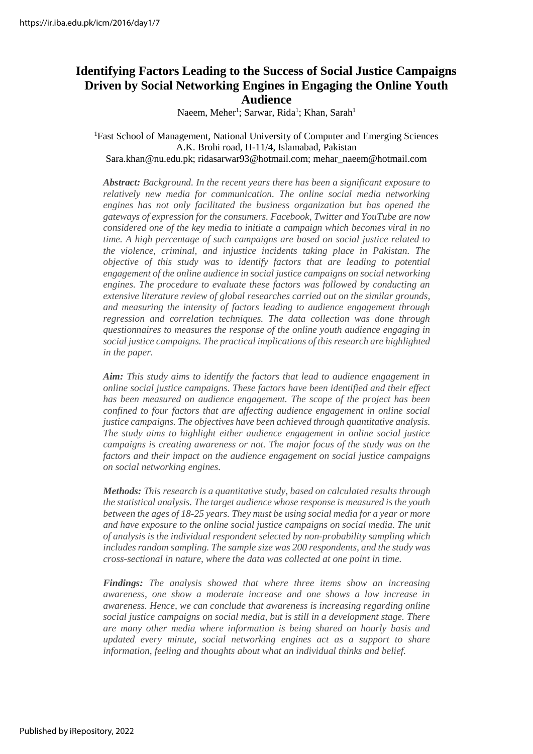## **Identifying Factors Leading to the Success of Social Justice Campaigns Driven by Social Networking Engines in Engaging the Online Youth Audience**

Naeem, Meher<sup>1</sup>; Sarwar, Rida<sup>1</sup>; Khan, Sarah<sup>1</sup>

#### <sup>1</sup>Fast School of Management, National University of Computer and Emerging Sciences A.K. Brohi road, H-11/4, Islamabad, Pakistan Sara.khan@nu.edu.pk; ridasarwar93@hotmail.com; [mehar\\_naeem@hotmail.com](mailto:mehar_naeem@hotmail.com)

*Abstract: Background. In the recent years there has been a significant exposure to relatively new media for communication. The online social media networking engines has not only facilitated the business organization but has opened the gateways of expression for the consumers. Facebook, Twitter and YouTube are now considered one of the key media to initiate a campaign which becomes viral in no time. A high percentage of such campaigns are based on social justice related to the violence, criminal, and injustice incidents taking place in Pakistan. The objective of this study was to identify factors that are leading to potential engagement of the online audience in social justice campaigns on social networking engines. The procedure to evaluate these factors was followed by conducting an extensive literature review of global researches carried out on the similar grounds, and measuring the intensity of factors leading to audience engagement through regression and correlation techniques. The data collection was done through questionnaires to measures the response of the online youth audience engaging in social justice campaigns. The practical implications of this research are highlighted in the paper.*

*Aim: This study aims to identify the factors that lead to audience engagement in online social justice campaigns. These factors have been identified and their effect has been measured on audience engagement. The scope of the project has been confined to four factors that are affecting audience engagement in online social justice campaigns. The objectives have been achieved through quantitative analysis. The study aims to highlight either audience engagement in online social justice campaigns is creating awareness or not. The major focus of the study was on the factors and their impact on the audience engagement on social justice campaigns on social networking engines.*

*Methods: This research is a quantitative study, based on calculated results through the statistical analysis. The target audience whose response is measured isthe youth between the ages of 18-25 years. They must be using social media for a year or more and have exposure to the online social justice campaigns on social media. The unit of analysis is the individual respondent selected by non-probability sampling which includes random sampling. The sample size was 200 respondents, and the study was cross-sectional in nature, where the data was collected at one point in time.*

*Findings: The analysis showed that where three items show an increasing awareness, one show a moderate increase and one shows a low increase in awareness. Hence, we can conclude that awareness is increasing regarding online social justice campaigns on social media, but is still in a development stage. There are many other media where information is being shared on hourly basis and updated every minute, social networking engines act as a support to share information, feeling and thoughts about what an individual thinks and belief.*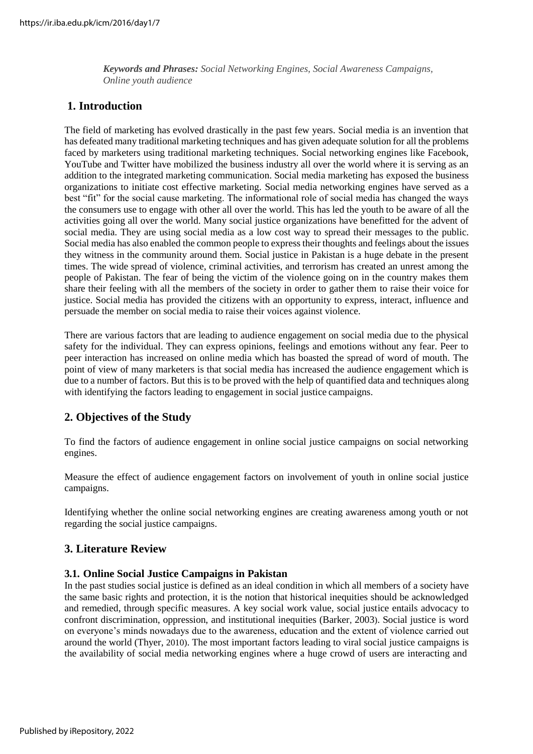*Keywords and Phrases: Social Networking Engines, Social Awareness Campaigns, Online youth audience*

## **1. Introduction**

The field of marketing has evolved drastically in the past few years. Social media is an invention that has defeated many traditional marketing techniques and has given adequate solution for all the problems faced by marketers using traditional marketing techniques. Social networking engines like Facebook, YouTube and Twitter have mobilized the business industry all over the world where it is serving as an addition to the integrated marketing communication. Social media marketing has exposed the business organizations to initiate cost effective marketing. Social media networking engines have served as a best "fit" for the social cause marketing. The informational role of social media has changed the ways the consumers use to engage with other all over the world. This has led the youth to be aware of all the activities going all over the world. Many social justice organizations have benefitted for the advent of social media. They are using social media as a low cost way to spread their messages to the public. Social media has also enabled the common people to express their thoughts and feelings about the issues they witness in the community around them. Social justice in Pakistan is a huge debate in the present times. The wide spread of violence, criminal activities, and terrorism has created an unrest among the people of Pakistan. The fear of being the victim of the violence going on in the country makes them share their feeling with all the members of the society in order to gather them to raise their voice for justice. Social media has provided the citizens with an opportunity to express, interact, influence and persuade the member on social media to raise their voices against violence.

There are various factors that are leading to audience engagement on social media due to the physical safety for the individual. They can express opinions, feelings and emotions without any fear. Peer to peer interaction has increased on online media which has boasted the spread of word of mouth. The point of view of many marketers is that social media has increased the audience engagement which is due to a number of factors. But this is to be proved with the help of quantified data and techniques along with identifying the factors leading to engagement in social justice campaigns.

## **2. Objectives of the Study**

To find the factors of audience engagement in online social justice campaigns on social networking engines.

Measure the effect of audience engagement factors on involvement of youth in online social justice campaigns.

Identifying whether the online social networking engines are creating awareness among youth or not regarding the social justice campaigns.

## **3. Literature Review**

## **3.1. Online Social Justice Campaigns in Pakistan**

In the past studies social justice is defined as an ideal condition in which all members of a society have the same basic rights and protection, it is the notion that historical inequities should be acknowledged and remedied, through specific measures. A key social work value, social justice entails advocacy to confront discrimination, oppression, and institutional inequities (Barker, 2003). Social justice is word on everyone's minds nowadays due to the awareness, education and the extent of violence carried out around the world (Thyer, 2010). The most important factors leading to viral social justice campaigns is the availability of social media networking engines where a huge crowd of users are interacting and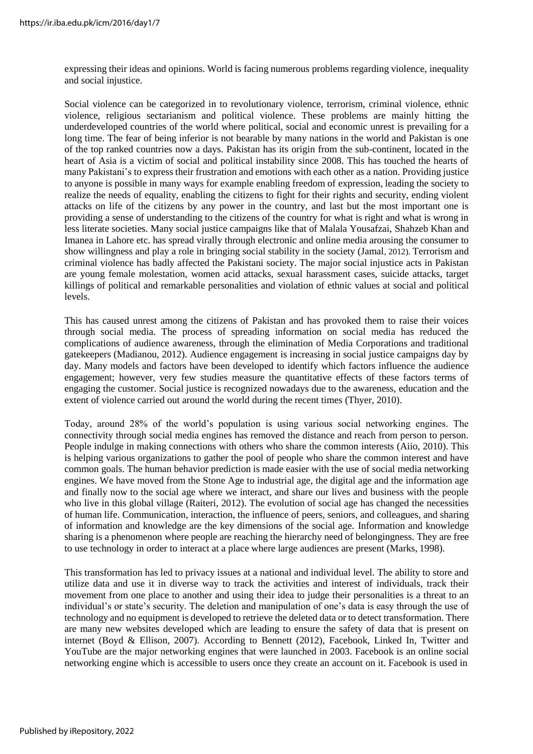expressing their ideas and opinions. World is facing numerous problems regarding violence, inequality and social injustice.

Social violence can be categorized in to revolutionary violence, terrorism, criminal violence, ethnic violence, religious sectarianism and political violence. These problems are mainly hitting the underdeveloped countries of the world where political, social and economic unrest is prevailing for a long time. The fear of being inferior is not bearable by many nations in the world and Pakistan is one of the top ranked countries now a days. Pakistan has its origin from the sub-continent, located in the heart of Asia is a victim of social and political instability since 2008. This has touched the hearts of many Pakistani's to express their frustration and emotions with each other as a nation. Providing justice to anyone is possible in many ways for example enabling freedom of expression, leading the society to realize the needs of equality, enabling the citizens to fight for their rights and security, ending violent attacks on life of the citizens by any power in the country, and last but the most important one is providing a sense of understanding to the citizens of the country for what is right and what is wrong in less literate societies. Many social justice campaigns like that of Malala Yousafzai, Shahzeb Khan and Imanea in Lahore etc. has spread virally through electronic and online media arousing the consumer to show willingness and play a role in bringing social stability in the society (Jamal, 2012). Terrorism and criminal violence has badly affected the Pakistani society. The major social injustice acts in Pakistan are young female molestation, women acid attacks, sexual harassment cases, suicide attacks, target killings of political and remarkable personalities and violation of ethnic values at social and political levels.

This has caused unrest among the citizens of Pakistan and has provoked them to raise their voices through social media. The process of spreading information on social media has reduced the complications of audience awareness, through the elimination of Media Corporations and traditional gatekeepers (Madianou, 2012). Audience engagement is increasing in social justice campaigns day by day. Many models and factors have been developed to identify which factors influence the audience engagement; however, very few studies measure the quantitative effects of these factors terms of engaging the customer. Social justice is recognized nowadays due to the awareness, education and the extent of violence carried out around the world during the recent times (Thyer, 2010).

Today, around 28% of the world's population is using various social networking engines. The connectivity through social media engines has removed the distance and reach from person to person. People indulge in making connections with others who share the common interests (Aiio, 2010). This is helping various organizations to gather the pool of people who share the common interest and have common goals. The human behavior prediction is made easier with the use of social media networking engines. We have moved from the Stone Age to industrial age, the digital age and the information age and finally now to the social age where we interact, and share our lives and business with the people who live in this global village (Raiteri, 2012). The evolution of social age has changed the necessities of human life. Communication, interaction, the influence of peers, seniors, and colleagues, and sharing of information and knowledge are the key dimensions of the social age. Information and knowledge sharing is a phenomenon where people are reaching the hierarchy need of belongingness. They are free to use technology in order to interact at a place where large audiences are present (Marks, 1998).

This transformation has led to privacy issues at a national and individual level. The ability to store and utilize data and use it in diverse way to track the activities and interest of individuals, track their movement from one place to another and using their idea to judge their personalities is a threat to an individual's or state's security. The deletion and manipulation of one's data is easy through the use of technology and no equipment is developed to retrieve the deleted data or to detect transformation. There are many new websites developed which are leading to ensure the safety of data that is present on internet (Boyd & Ellison, 2007). According to Bennett (2012), Facebook, Linked In, Twitter and YouTube are the major networking engines that were launched in 2003. Facebook is an online social networking engine which is accessible to users once they create an account on it. Facebook is used in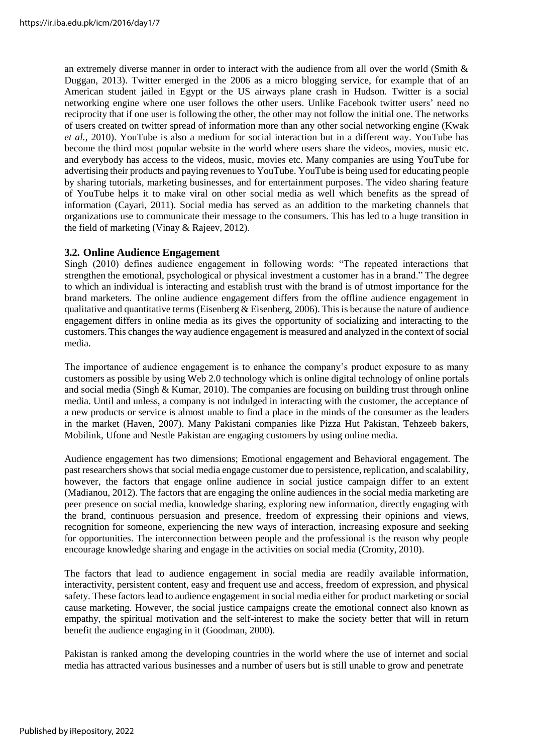an extremely diverse manner in order to interact with the audience from all over the world (Smith & Duggan, 2013). Twitter emerged in the 2006 as a micro blogging service, for example that of an American student jailed in Egypt or the US airways plane crash in Hudson. Twitter is a social networking engine where one user follows the other users. Unlike Facebook twitter users' need no reciprocity that if one user is following the other, the other may not follow the initial one. The networks of users created on twitter spread of information more than any other social networking engine (Kwak *et al.*, 2010). YouTube is also a medium for social interaction but in a different way. YouTube has become the third most popular website in the world where users share the videos, movies, music etc. and everybody has access to the videos, music, movies etc. Many companies are using YouTube for advertising their products and paying revenues to YouTube. YouTube is being used for educating people by sharing tutorials, marketing businesses, and for entertainment purposes. The video sharing feature of YouTube helps it to make viral on other social media as well which benefits as the spread of information (Cayari, 2011). Social media has served as an addition to the marketing channels that organizations use to communicate their message to the consumers. This has led to a huge transition in the field of marketing (Vinay & Rajeev, 2012).

## **3.2. Online Audience Engagement**

Singh (2010) defines audience engagement in following words: "The repeated interactions that strengthen the emotional, psychological or physical investment a customer has in a brand." The degree to which an individual is interacting and establish trust with the brand is of utmost importance for the brand marketers. The online audience engagement differs from the offline audience engagement in qualitative and quantitative terms (Eisenberg  $\&$  Eisenberg, 2006). This is because the nature of audience engagement differs in online media as its gives the opportunity of socializing and interacting to the customers. This changes the way audience engagement is measured and analyzed in the context of social media.

The importance of audience engagement is to enhance the company's product exposure to as many customers as possible by using Web 2.0 technology which is online digital technology of online portals and social media (Singh & Kumar, 2010). The companies are focusing on building trust through online media. Until and unless, a company is not indulged in interacting with the customer, the acceptance of a new products or service is almost unable to find a place in the minds of the consumer as the leaders in the market (Haven, 2007). Many Pakistani companies like Pizza Hut Pakistan, Tehzeeb bakers, Mobilink, Ufone and Nestle Pakistan are engaging customers by using online media.

Audience engagement has two dimensions; Emotional engagement and Behavioral engagement. The past researchers shows that social media engage customer due to persistence, replication, and scalability, however, the factors that engage online audience in social justice campaign differ to an extent (Madianou, 2012). The factors that are engaging the online audiences in the social media marketing are peer presence on social media, knowledge sharing, exploring new information, directly engaging with the brand, continuous persuasion and presence, freedom of expressing their opinions and views, recognition for someone, experiencing the new ways of interaction, increasing exposure and seeking for opportunities. The interconnection between people and the professional is the reason why people encourage knowledge sharing and engage in the activities on social media (Cromity, 2010).

The factors that lead to audience engagement in social media are readily available information, interactivity, persistent content, easy and frequent use and access, freedom of expression, and physical safety. These factors lead to audience engagement in social media either for product marketing or social cause marketing. However, the social justice campaigns create the emotional connect also known as empathy, the spiritual motivation and the self-interest to make the society better that will in return benefit the audience engaging in it (Goodman, 2000).

Pakistan is ranked among the developing countries in the world where the use of internet and social media has attracted various businesses and a number of users but is still unable to grow and penetrate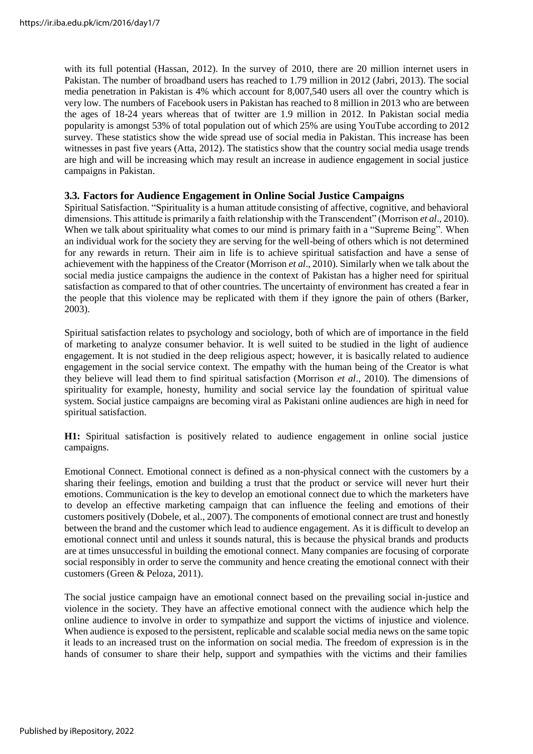with its full potential (Hassan, 2012). In the survey of 2010, there are 20 million internet users in Pakistan. The number of broadband users has reached to 1.79 million in 2012 (Jabri, 2013). The social media penetration in Pakistan is 4% which account for 8,007,540 users all over the country which is very low. The numbers of Facebook users in Pakistan has reached to 8 million in 2013 who are between the ages of 18-24 years whereas that of twitter are 1.9 million in 2012. In Pakistan social media popularity is amongst 53% of total population out of which 25% are using YouTube according to 2012 survey. These statistics show the wide spread use of social media in Pakistan. This increase has been witnesses in past five years (Atta, 2012). The statistics show that the country social media usage trends are high and will be increasing which may result an increase in audience engagement in social justice campaigns in Pakistan.

#### **3.3. Factors for Audience Engagement in Online Social Justice Campaigns**

Spiritual Satisfaction. "Spirituality is a human attitude consisting of affective, cognitive, and behavioral dimensions. This attitude is primarily a faith relationship with the Transcendent" (Morrison *et al*., 2010). When we talk about spirituality what comes to our mind is primary faith in a "Supreme Being". When an individual work for the society they are serving for the well-being of others which is not determined for any rewards in return. Their aim in life is to achieve spiritual satisfaction and have a sense of achievement with the happiness of the Creator (Morrison *et al*., 2010). Similarly when we talk about the social media justice campaigns the audience in the context of Pakistan has a higher need for spiritual satisfaction as compared to that of other countries. The uncertainty of environment has created a fear in the people that this violence may be replicated with them if they ignore the pain of others (Barker, 2003).

Spiritual satisfaction relates to psychology and sociology, both of which are of importance in the field of marketing to analyze consumer behavior. It is well suited to be studied in the light of audience engagement. It is not studied in the deep religious aspect; however, it is basically related to audience engagement in the social service context. The empathy with the human being of the Creator is what they believe will lead them to find spiritual satisfaction (Morrison *et al*., 2010). The dimensions of spirituality for example, honesty, humility and social service lay the foundation of spiritual value system. Social justice campaigns are becoming viral as Pakistani online audiences are high in need for spiritual satisfaction.

**H1:** Spiritual satisfaction is positively related to audience engagement in online social justice campaigns.

Emotional Connect. Emotional connect is defined as a non-physical connect with the customers by a sharing their feelings, emotion and building a trust that the product or service will never hurt their emotions. Communication is the key to develop an emotional connect due to which the marketers have to develop an effective marketing campaign that can influence the feeling and emotions of their customers positively (Dobele, et al., 2007). The components of emotional connect are trust and honestly between the brand and the customer which lead to audience engagement. As it is difficult to develop an emotional connect until and unless it sounds natural, this is because the physical brands and products are at times unsuccessful in building the emotional connect. Many companies are focusing of corporate social responsibly in order to serve the community and hence creating the emotional connect with their customers (Green & Peloza, 2011).

The social justice campaign have an emotional connect based on the prevailing social in-justice and violence in the society. They have an affective emotional connect with the audience which help the online audience to involve in order to sympathize and support the victims of injustice and violence. When audience is exposed to the persistent, replicable and scalable social media news on the same topic it leads to an increased trust on the information on social media. The freedom of expression is in the hands of consumer to share their help, support and sympathies with the victims and their families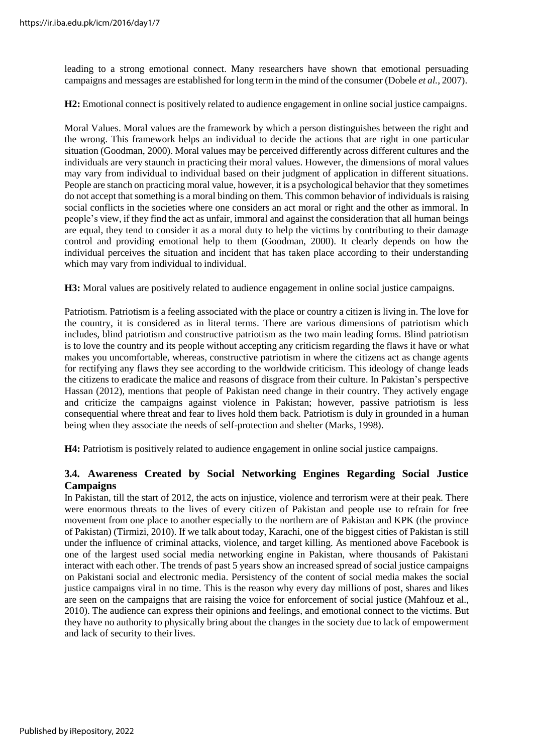leading to a strong emotional connect. Many researchers have shown that emotional persuading campaigns and messages are established for long termin the mind of the consumer (Dobele *et al.*, 2007).

**H2:** Emotional connect is positively related to audience engagement in online social justice campaigns.

Moral Values. Moral values are the framework by which a person distinguishes between the right and the wrong. This framework helps an individual to decide the actions that are right in one particular situation (Goodman, 2000). Moral values may be perceived differently across different cultures and the individuals are very staunch in practicing their moral values. However, the dimensions of moral values may vary from individual to individual based on their judgment of application in different situations. People are stanch on practicing moral value, however, it is a psychological behavior that they sometimes do not accept that something is a moral binding on them. This common behavior of individualsis raising social conflicts in the societies where one considers an act moral or right and the other as immoral. In people's view, if they find the act as unfair, immoral and against the consideration that all human beings are equal, they tend to consider it as a moral duty to help the victims by contributing to their damage control and providing emotional help to them (Goodman, 2000). It clearly depends on how the individual perceives the situation and incident that has taken place according to their understanding which may vary from individual to individual.

**H3:** Moral values are positively related to audience engagement in online social justice campaigns.

Patriotism. Patriotism is a feeling associated with the place or country a citizen is living in. The love for the country, it is considered as in literal terms. There are various dimensions of patriotism which includes, blind patriotism and constructive patriotism as the two main leading forms. Blind patriotism is to love the country and its people without accepting any criticism regarding the flaws it have or what makes you uncomfortable, whereas, constructive patriotism in where the citizens act as change agents for rectifying any flaws they see according to the worldwide criticism. This ideology of change leads the citizens to eradicate the malice and reasons of disgrace from their culture. In Pakistan's perspective Hassan (2012), mentions that people of Pakistan need change in their country. They actively engage and criticize the campaigns against violence in Pakistan; however, passive patriotism is less consequential where threat and fear to lives hold them back. Patriotism is duly in grounded in a human being when they associate the needs of self-protection and shelter (Marks, 1998).

**H4:** Patriotism is positively related to audience engagement in online social justice campaigns.

## **3.4. Awareness Created by Social Networking Engines Regarding Social Justice Campaigns**

In Pakistan, till the start of 2012, the acts on injustice, violence and terrorism were at their peak. There were enormous threats to the lives of every citizen of Pakistan and people use to refrain for free movement from one place to another especially to the northern are of Pakistan and KPK (the province of Pakistan) (Tirmizi, 2010). If we talk about today, Karachi, one of the biggest cities of Pakistan is still under the influence of criminal attacks, violence, and target killing. As mentioned above Facebook is one of the largest used social media networking engine in Pakistan, where thousands of Pakistani interact with each other. The trends of past 5 years show an increased spread of social justice campaigns on Pakistani social and electronic media. Persistency of the content of social media makes the social justice campaigns viral in no time. This is the reason why every day millions of post, shares and likes are seen on the campaigns that are raising the voice for enforcement of social justice (Mahfouz et al., 2010). The audience can express their opinions and feelings, and emotional connect to the victims. But they have no authority to physically bring about the changes in the society due to lack of empowerment and lack of security to their lives.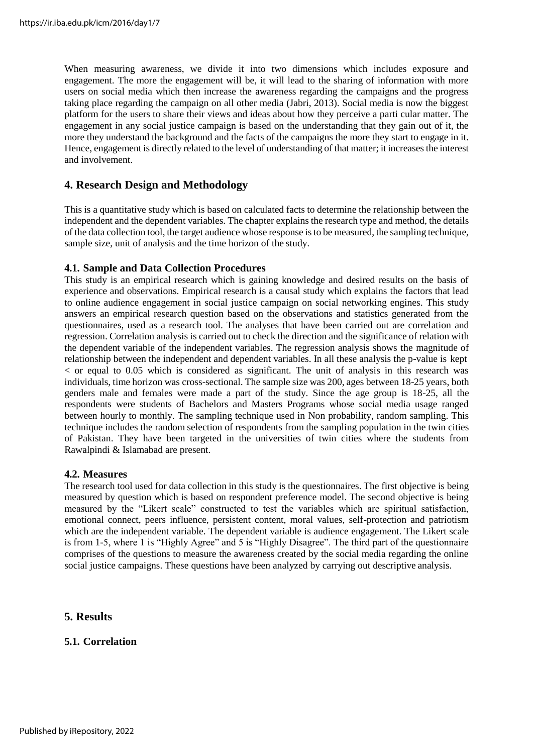When measuring awareness, we divide it into two dimensions which includes exposure and engagement. The more the engagement will be, it will lead to the sharing of information with more users on social media which then increase the awareness regarding the campaigns and the progress taking place regarding the campaign on all other media (Jabri, 2013). Social media is now the biggest platform for the users to share their views and ideas about how they perceive a parti cular matter. The engagement in any social justice campaign is based on the understanding that they gain out of it, the more they understand the background and the facts of the campaigns the more they start to engage in it. Hence, engagement is directly related to the level of understanding of that matter; it increases the interest and involvement.

## **4. Research Design and Methodology**

This is a quantitative study which is based on calculated facts to determine the relationship between the independent and the dependent variables. The chapter explains the research type and method, the details of the data collection tool, the target audience whose response is to be measured, the sampling technique, sample size, unit of analysis and the time horizon of the study.

#### **4.1. Sample and Data Collection Procedures**

This study is an empirical research which is gaining knowledge and desired results on the basis of experience and observations. Empirical research is a causal study which explains the factors that lead to online audience engagement in social justice campaign on social networking engines. This study answers an empirical research question based on the observations and statistics generated from the questionnaires, used as a research tool. The analyses that have been carried out are correlation and regression. Correlation analysis is carried out to check the direction and the significance of relation with the dependent variable of the independent variables. The regression analysis shows the magnitude of relationship between the independent and dependent variables. In all these analysis the p-value is kept < or equal to 0.05 which is considered as significant. The unit of analysis in this research was individuals, time horizon was cross-sectional. The sample size was 200, ages between 18-25 years, both genders male and females were made a part of the study. Since the age group is 18-25, all the respondents were students of Bachelors and Masters Programs whose social media usage ranged between hourly to monthly. The sampling technique used in Non probability, random sampling. This technique includes the random selection of respondents from the sampling population in the twin cities of Pakistan. They have been targeted in the universities of twin cities where the students from Rawalpindi & Islamabad are present.

#### **4.2. Measures**

The research tool used for data collection in this study is the questionnaires. The first objective is being measured by question which is based on respondent preference model. The second objective is being measured by the "Likert scale" constructed to test the variables which are spiritual satisfaction, emotional connect, peers influence, persistent content, moral values, self-protection and patriotism which are the independent variable. The dependent variable is audience engagement. The Likert scale is from 1-5, where 1 is "Highly Agree" and 5 is "Highly Disagree". The third part of the questionnaire comprises of the questions to measure the awareness created by the social media regarding the online social justice campaigns. These questions have been analyzed by carrying out descriptive analysis.

## **5. Results**

## **5.1. Correlation**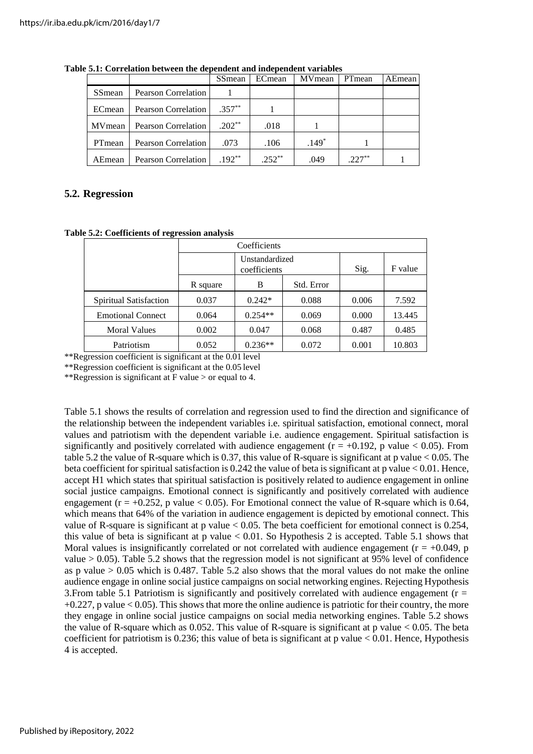|        |                            | SSmean    | ECmean  | <b>MV</b> mean | PTmean   | AEmean |
|--------|----------------------------|-----------|---------|----------------|----------|--------|
| SSmean | <b>Pearson Correlation</b> |           |         |                |          |        |
| ECmean | <b>Pearson Correlation</b> | $.357***$ |         |                |          |        |
| MVmean | <b>Pearson Correlation</b> | $.202**$  | .018    |                |          |        |
| PTmean | <b>Pearson Correlation</b> | .073      | .106    | $.149*$        |          |        |
| AEmean | Pearson Correlation        | $.192**$  | $252**$ | .049           | $.227**$ |        |

**Table 5.1: Correlation between the dependent and independent variables**

## **5.2. Regression**

|  |  | Table 5.2: Coefficients of regression analysis |  |
|--|--|------------------------------------------------|--|
|--|--|------------------------------------------------|--|

|                          | Coefficients |                                |            |       |         |  |
|--------------------------|--------------|--------------------------------|------------|-------|---------|--|
|                          |              | Unstandardized<br>coefficients |            | Sig.  | F value |  |
|                          | R square     | B                              | Std. Error |       |         |  |
| Spiritual Satisfaction   | 0.037        | $0.242*$                       | 0.088      | 0.006 | 7.592   |  |
| <b>Emotional Connect</b> | 0.064        | $0.254**$                      | 0.069      | 0.000 | 13.445  |  |
| <b>Moral Values</b>      | 0.002        | 0.047                          | 0.068      | 0.487 | 0.485   |  |
| Patriotism               | 0.052        | $0.236**$                      | 0.072      | 0.001 | 10.803  |  |

\*\*Regression coefficient is significant at the 0.01 level

\*\*Regression coefficient is significant at the 0.05 level

\*\*Regression is significant at F value > or equal to 4.

Table 5.1 shows the results of correlation and regression used to find the direction and significance of the relationship between the independent variables i.e. spiritual satisfaction, emotional connect, moral values and patriotism with the dependent variable i.e. audience engagement. Spiritual satisfaction is significantly and positively correlated with audience engagement  $(r = +0.192, p$  value  $< 0.05$ ). From table 5.2 the value of R-square which is 0.37, this value of R-square is significant at p value < 0.05. The beta coefficient for spiritual satisfaction is 0.242 the value of beta is significant at p value < 0.01. Hence, accept H1 which states that spiritual satisfaction is positively related to audience engagement in online social justice campaigns. Emotional connect is significantly and positively correlated with audience engagement ( $r = +0.252$ , p value < 0.05). For Emotional connect the value of R-square which is 0.64, which means that 64% of the variation in audience engagement is depicted by emotional connect. This value of R-square is significant at p value  $< 0.05$ . The beta coefficient for emotional connect is 0.254, this value of beta is significant at  $p$  value  $< 0.01$ . So Hypothesis 2 is accepted. Table 5.1 shows that Moral values is insignificantly correlated or not correlated with audience engagement ( $r = +0.049$ , p value > 0.05). Table 5.2 shows that the regression model is not significant at 95% level of confidence as p value  $> 0.05$  which is 0.487. Table 5.2 also shows that the moral values do not make the online audience engage in online social justice campaigns on social networking engines. Rejecting Hypothesis 3.From table 5.1 Patriotism is significantly and positively correlated with audience engagement (r =  $+0.227$ , p value  $< 0.05$ ). This shows that more the online audience is patriotic for their country, the more they engage in online social justice campaigns on social media networking engines. Table 5.2 shows the value of R-square which as 0.052. This value of R-square is significant at p value < 0.05. The beta coefficient for patriotism is 0.236; this value of beta is significant at p value  $< 0.01$ . Hence, Hypothesis 4 is accepted.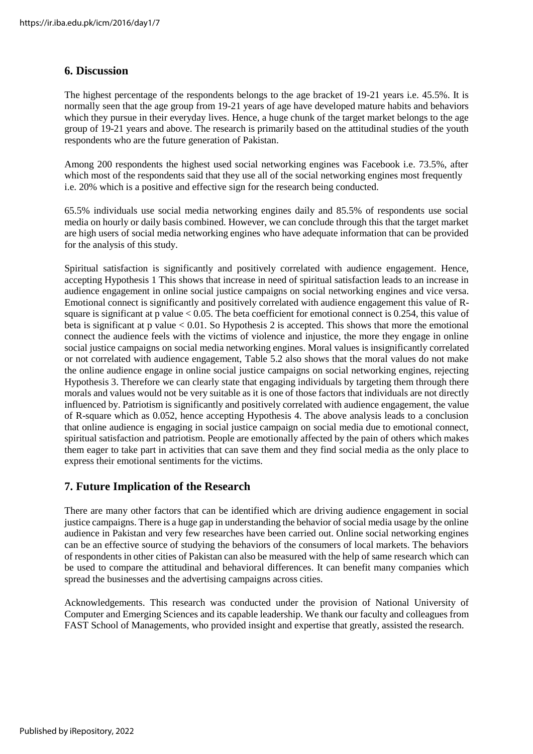## **6. Discussion**

The highest percentage of the respondents belongs to the age bracket of 19-21 years i.e. 45.5%. It is normally seen that the age group from 19-21 years of age have developed mature habits and behaviors which they pursue in their everyday lives. Hence, a huge chunk of the target market belongs to the age group of 19-21 years and above. The research is primarily based on the attitudinal studies of the youth respondents who are the future generation of Pakistan.

Among 200 respondents the highest used social networking engines was Facebook i.e. 73.5%, after which most of the respondents said that they use all of the social networking engines most frequently i.e. 20% which is a positive and effective sign for the research being conducted.

65.5% individuals use social media networking engines daily and 85.5% of respondents use social media on hourly or daily basis combined. However, we can conclude through this that the target market are high users of social media networking engines who have adequate information that can be provided for the analysis of this study.

Spiritual satisfaction is significantly and positively correlated with audience engagement. Hence, accepting Hypothesis 1 This shows that increase in need of spiritual satisfaction leads to an increase in audience engagement in online social justice campaigns on social networking engines and vice versa. Emotional connect is significantly and positively correlated with audience engagement this value of Rsquare is significant at p value < 0.05. The beta coefficient for emotional connect is 0.254, this value of beta is significant at p value < 0.01. So Hypothesis 2 is accepted. This shows that more the emotional connect the audience feels with the victims of violence and injustice, the more they engage in online social justice campaigns on social media networking engines. Moral values is insignificantly correlated or not correlated with audience engagement, Table 5.2 also shows that the moral values do not make the online audience engage in online social justice campaigns on social networking engines, rejecting Hypothesis 3. Therefore we can clearly state that engaging individuals by targeting them through there morals and values would not be very suitable as it is one of those factors that individuals are not directly influenced by. Patriotism is significantly and positively correlated with audience engagement, the value of R-square which as 0.052, hence accepting Hypothesis 4. The above analysis leads to a conclusion that online audience is engaging in social justice campaign on social media due to emotional connect, spiritual satisfaction and patriotism. People are emotionally affected by the pain of others which makes them eager to take part in activities that can save them and they find social media as the only place to express their emotional sentiments for the victims.

## **7. Future Implication of the Research**

There are many other factors that can be identified which are driving audience engagement in social justice campaigns. There is a huge gap in understanding the behavior of social media usage by the online audience in Pakistan and very few researches have been carried out. Online social networking engines can be an effective source of studying the behaviors of the consumers of local markets. The behaviors of respondents in other cities of Pakistan can also be measured with the help of same research which can be used to compare the attitudinal and behavioral differences. It can benefit many companies which spread the businesses and the advertising campaigns across cities.

Acknowledgements. This research was conducted under the provision of National University of Computer and Emerging Sciences and its capable leadership. We thank our faculty and colleagues from FAST School of Managements, who provided insight and expertise that greatly, assisted the research.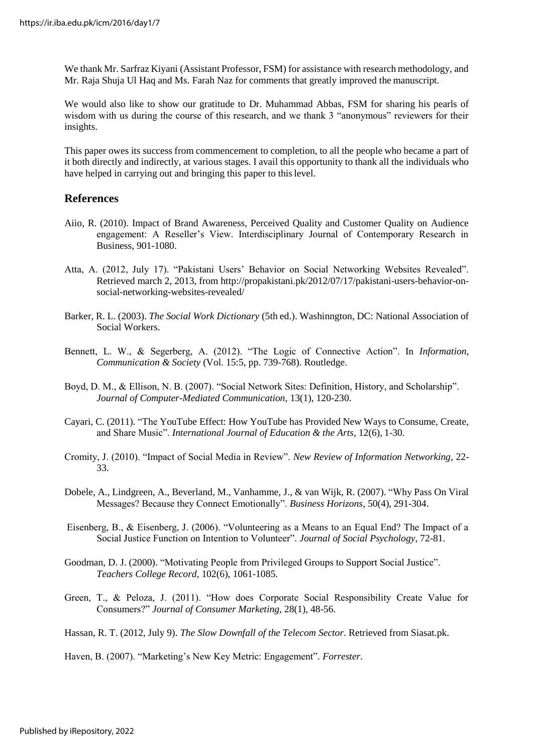We thank Mr. Sarfraz Kiyani (Assistant Professor, FSM) for assistance with research methodology, and Mr. Raja Shuja Ul Haq and Ms. Farah Naz for comments that greatly improved the manuscript.

We would also like to show our gratitude to Dr. Muhammad Abbas, FSM for sharing his pearls of wisdom with us during the course of this research, and we thank 3 "anonymous" reviewers for their insights.

This paper owes its success from commencement to completion, to all the people who became a part of it both directly and indirectly, at various stages. I avail this opportunity to thank all the individuals who have helped in carrying out and bringing this paper to thislevel.

#### **References**

- Aiio, R. (2010). Impact of Brand Awareness, Perceived Quality and Customer Quality on Audience engagement: A Reseller's View. Interdisciplinary Journal of Contemporary Research in Business, 901-1080.
- Atta, A. (2012, July 17). "Pakistani Users' Behavior on Social Networking Websites Revealed". Retrieved march 2, 2013, from [http://propakistani.pk/2012/07/17/pakistani-users-behavior-on](http://propakistani.pk/2012/07/17/pakistani-users-behavior-on-)social-networking-websites-revealed/
- Barker, R. L. (2003). *The Social Work Dictionary* (5th ed.). Washinngton, DC: National Association of Social Workers.
- Bennett, L. W., & Segerberg, A. (2012). "The Logic of Connective Action". In *Information, Communication & Society* (Vol. 15:5, pp. 739-768). Routledge.
- Boyd, D. M., & Ellison, N. B. (2007). "Social Network Sites: Definition, History, and Scholarship". *Journal of Computer-Mediated Communication*, 13(1), 120-230.
- Cayari, C. (2011). "The YouTube Effect: How YouTube has Provided New Ways to Consume, Create, and Share Music". *International Journal of Education & the Arts*, 12(6), 1-30.
- Cromity, J. (2010). "Impact of Social Media in Review". *New Review of Information Networking*, 22- 33.
- Dobele, A., Lindgreen, A., Beverland, M., Vanhamme, J., & van Wijk, R. (2007). "Why Pass On Viral Messages? Because they Connect Emotionally". *Business Horizons*, 50(4), 291-304.
- Eisenberg, B., & Eisenberg, J. (2006). "Volunteering as a Means to an Equal End? The Impact of a Social Justice Function on Intention to Volunteer". *Journal of Social Psychology*, 72-81.
- Goodman, D. J. (2000). "Motivating People from Privileged Groups to Support Social Justice". *Teachers College Record*, 102(6), 1061-1085.
- Green, T., & Peloza, J. (2011). "How does Corporate Social Responsibility Create Value for Consumers?" *Journal of Consumer Marketing*, 28(1), 48-56.

Hassan, R. T. (2012, July 9). *The Slow Downfall of the Telecom Sector*. Retrieved from Siasat.pk.

Haven, B. (2007). "Marketing's New Key Metric: Engagement"*. Forrester*.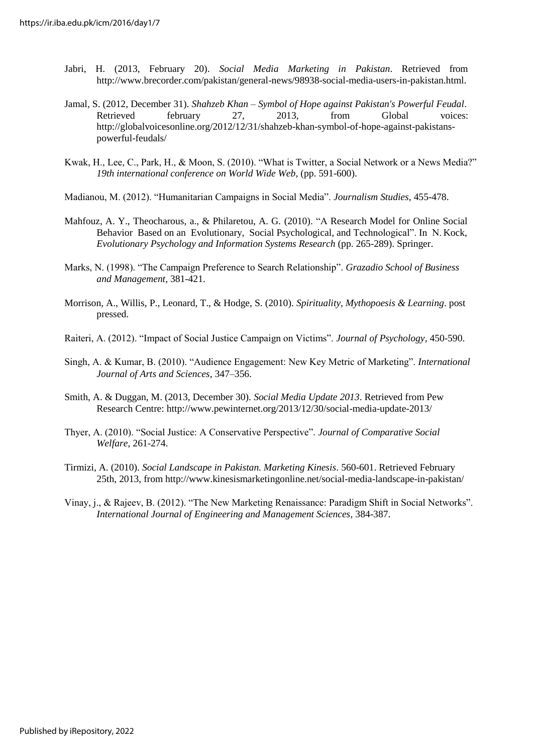- Jabri, H. (2013, February 20). *Social Media Marketing in Pakistan*. Retrieved from [http://www.brecorder.com/pakistan/general-news/98938-social-media-users-in-pakistan.html.](http://www.brecorder.com/pakistan/general-news/98938-social-media-users-in-pakistan.html)
- Jamal, S. (2012, December 31). *Shahzeb Khan – Symbol of Hope against Pakistan's Powerful Feudal*. Retrieved february 27, 2013, from Global voices: [http://globalvoicesonline.org/2012/12/31/shahzeb-khan-symbol-of-hope-against-pakistans](http://globalvoicesonline.org/2012/12/31/shahzeb-khan-symbol-of-hope-against-pakistans-)powerful-feudals/
- Kwak, H., Lee, C., Park, H., & Moon, S. (2010). "What is Twitter, a Social Network or a News Media?" *19th international conference on World Wide Web*, (pp. 591-600).
- Madianou, M. (2012). "Humanitarian Campaigns in Social Media". *Journalism Studies*, 455-478.
- Mahfouz, A. Y., Theocharous, a., & Philaretou, A. G. (2010). "A Research Model for Online Social Behavior Based on an Evolutionary, Social Psychological, and Technological". In N. Kock, *Evolutionary Psychology and Information Systems Research* (pp. 265-289). Springer.
- Marks, N. (1998). "The Campaign Preference to Search Relationship". *Grazadio School of Business and Management*, 381-421.
- Morrison, A., Willis, P., Leonard, T., & Hodge, S. (2010). *Spirituality, Mythopoesis & Learning*. post pressed.
- Raiteri, A. (2012). "Impact of Social Justice Campaign on Victims". *Journal of Psychology*, 450-590.
- Singh, A. & Kumar, B. (2010). "Audience Engagement: New Key Metric of Marketing". *International Journal of Arts and Sciences*, 347–356.
- Smith, A. & Duggan, M. (2013, December 30). *Social Media Update 2013*. Retrieved from Pew Research Centre:<http://www.pewinternet.org/2013/12/30/social-media-update-2013/>
- Thyer, A. (2010). "Social Justice: A Conservative Perspective". *Journal of Comparative Social Welfare*, 261-274.
- Tirmizi, A. (2010). *Social Landscape in Pakistan. Marketing Kinesis*. 560-601. Retrieved February 25th, 2013, fro[m http://www.kinesismarketingonline.net/social-media-landscape-in-pakistan/](http://www.kinesismarketingonline.net/social-media-landscape-in-pakistan/)
- Vinay, j., & Rajeev, B. (2012). "The New Marketing Renaissance: Paradigm Shift in Social Networks". *International Journal of Engineering and Management Sciences*, 384-387.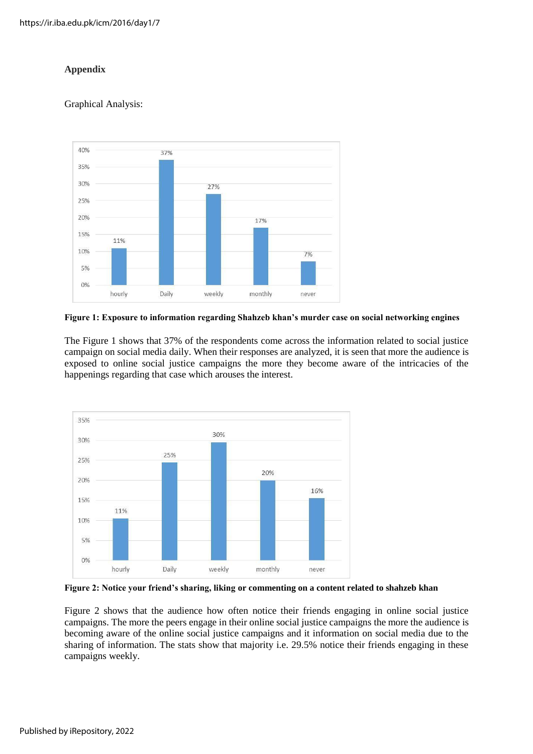## **Appendix**

## Graphical Analysis:



**Figure 1: Exposure to information regarding Shahzeb khan's murder case on social networking engines**

The Figure 1 shows that 37% of the respondents come across the information related to social justice campaign on social media daily. When their responses are analyzed, it is seen that more the audience is exposed to online social justice campaigns the more they become aware of the intricacies of the happenings regarding that case which arouses the interest.



**Figure 2: Notice your friend's sharing, liking or commenting on a content related to shahzeb khan**

Figure 2 shows that the audience how often notice their friends engaging in online social justice campaigns. The more the peers engage in their online social justice campaigns the more the audience is becoming aware of the online social justice campaigns and it information on social media due to the sharing of information. The stats show that majority i.e. 29.5% notice their friends engaging in these campaigns weekly.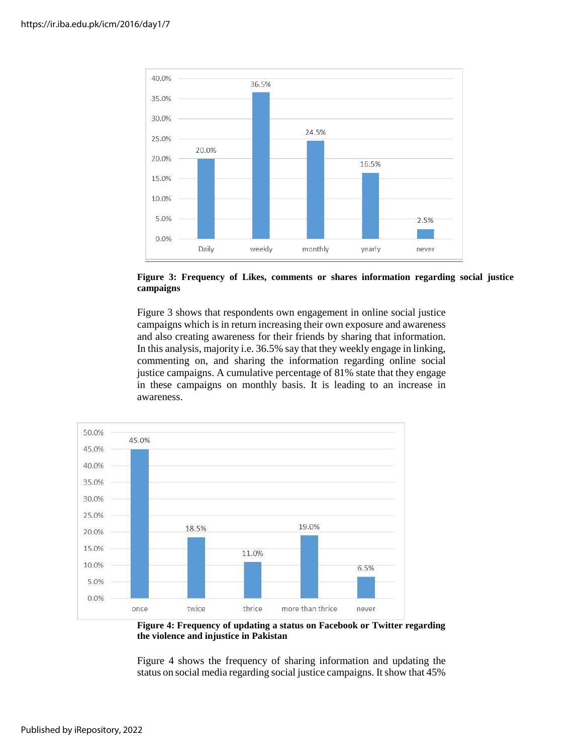

**Figure 3: Frequency of Likes, comments or shares information regarding social justice campaigns**

Figure 3 shows that respondents own engagement in online social justice campaigns which is in return increasing their own exposure and awareness and also creating awareness for their friends by sharing that information. In this analysis, majority i.e. 36.5% say that they weekly engage in linking, commenting on, and sharing the information regarding online social justice campaigns. A cumulative percentage of 81% state that they engage in these campaigns on monthly basis. It is leading to an increase in awareness.



**Figure 4: Frequency of updating a status on Facebook or Twitter regarding the violence and injustice in Pakistan**

Figure 4 shows the frequency of sharing information and updating the status on social media regarding social justice campaigns. It show that 45%